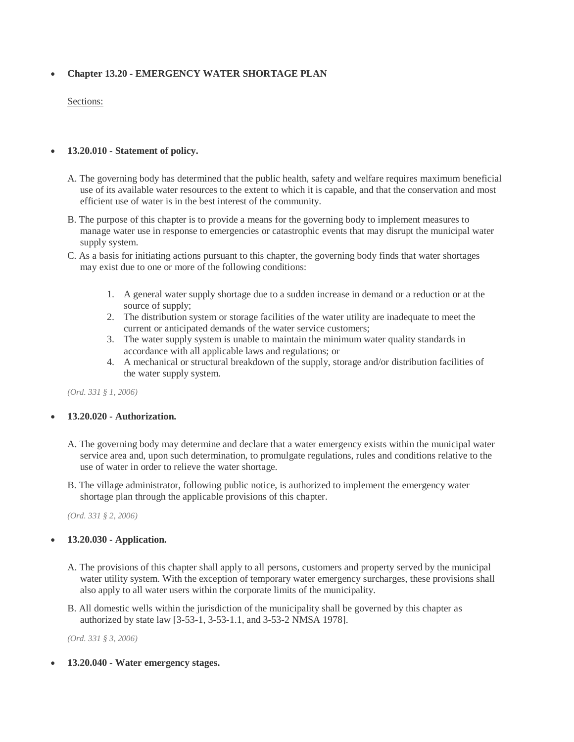# **Chapter 13.20 - EMERGENCY WATER SHORTAGE PLAN**

#### Sections:

## **13.20.010 - Statement of policy.**

- A. The governing body has determined that the public health, safety and welfare requires maximum beneficial use of its available water resources to the extent to which it is capable, and that the conservation and most efficient use of water is in the best interest of the community.
- B. The purpose of this chapter is to provide a means for the governing body to implement measures to manage water use in response to emergencies or catastrophic events that may disrupt the municipal water supply system.
- C. As a basis for initiating actions pursuant to this chapter, the governing body finds that water shortages may exist due to one or more of the following conditions:
	- 1. A general water supply shortage due to a sudden increase in demand or a reduction or at the source of supply;
	- 2. The distribution system or storage facilities of the water utility are inadequate to meet the current or anticipated demands of the water service customers;
	- 3. The water supply system is unable to maintain the minimum water quality standards in accordance with all applicable laws and regulations; or
	- 4. A mechanical or structural breakdown of the supply, storage and/or distribution facilities of the water supply system.

*(Ord. 331 § 1, 2006)* 

#### **13.20.020 - Authorization.**

- A. The governing body may determine and declare that a water emergency exists within the municipal water service area and, upon such determination, to promulgate regulations, rules and conditions relative to the use of water in order to relieve the water shortage.
- B. The village administrator, following public notice, is authorized to implement the emergency water shortage plan through the applicable provisions of this chapter.

*(Ord. 331 § 2, 2006)* 

#### **13.20.030 - Application.**

- A. The provisions of this chapter shall apply to all persons, customers and property served by the municipal water utility system. With the exception of temporary water emergency surcharges, these provisions shall also apply to all water users within the corporate limits of the municipality.
- B. All domestic wells within the jurisdiction of the municipality shall be governed by this chapter as authorized by state law [3-53-1, 3-53-1.1, and 3-53-2 NMSA 1978].

*(Ord. 331 § 3, 2006)* 

**13.20.040 - Water emergency stages.**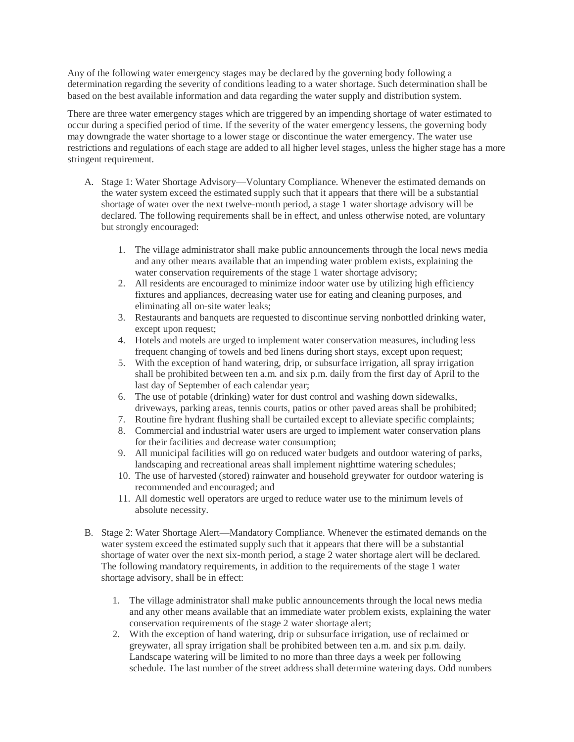Any of the following water emergency stages may be declared by the governing body following a determination regarding the severity of conditions leading to a water shortage. Such determination shall be based on the best available information and data regarding the water supply and distribution system.

There are three water emergency stages which are triggered by an impending shortage of water estimated to occur during a specified period of time. If the severity of the water emergency lessens, the governing body may downgrade the water shortage to a lower stage or discontinue the water emergency. The water use restrictions and regulations of each stage are added to all higher level stages, unless the higher stage has a more stringent requirement.

- A. Stage 1: Water Shortage Advisory—Voluntary Compliance. Whenever the estimated demands on the water system exceed the estimated supply such that it appears that there will be a substantial shortage of water over the next twelve-month period, a stage 1 water shortage advisory will be declared. The following requirements shall be in effect, and unless otherwise noted, are voluntary but strongly encouraged:
	- 1. The village administrator shall make public announcements through the local news media and any other means available that an impending water problem exists, explaining the water conservation requirements of the stage 1 water shortage advisory;
	- 2. All residents are encouraged to minimize indoor water use by utilizing high efficiency fixtures and appliances, decreasing water use for eating and cleaning purposes, and eliminating all on-site water leaks;
	- 3. Restaurants and banquets are requested to discontinue serving nonbottled drinking water, except upon request;
	- 4. Hotels and motels are urged to implement water conservation measures, including less frequent changing of towels and bed linens during short stays, except upon request;
	- 5. With the exception of hand watering, drip, or subsurface irrigation, all spray irrigation shall be prohibited between ten a.m. and six p.m. daily from the first day of April to the last day of September of each calendar year;
	- 6. The use of potable (drinking) water for dust control and washing down sidewalks, driveways, parking areas, tennis courts, patios or other paved areas shall be prohibited;
	- 7. Routine fire hydrant flushing shall be curtailed except to alleviate specific complaints;
	- 8. Commercial and industrial water users are urged to implement water conservation plans for their facilities and decrease water consumption;
	- 9. All municipal facilities will go on reduced water budgets and outdoor watering of parks, landscaping and recreational areas shall implement nighttime watering schedules;
	- 10. The use of harvested (stored) rainwater and household greywater for outdoor watering is recommended and encouraged; and
	- 11. All domestic well operators are urged to reduce water use to the minimum levels of absolute necessity.
- B. Stage 2: Water Shortage Alert—Mandatory Compliance. Whenever the estimated demands on the water system exceed the estimated supply such that it appears that there will be a substantial shortage of water over the next six-month period, a stage 2 water shortage alert will be declared. The following mandatory requirements, in addition to the requirements of the stage 1 water shortage advisory, shall be in effect:
	- 1. The village administrator shall make public announcements through the local news media and any other means available that an immediate water problem exists, explaining the water conservation requirements of the stage 2 water shortage alert;
	- 2. With the exception of hand watering, drip or subsurface irrigation, use of reclaimed or greywater, all spray irrigation shall be prohibited between ten a.m. and six p.m. daily. Landscape watering will be limited to no more than three days a week per following schedule. The last number of the street address shall determine watering days. Odd numbers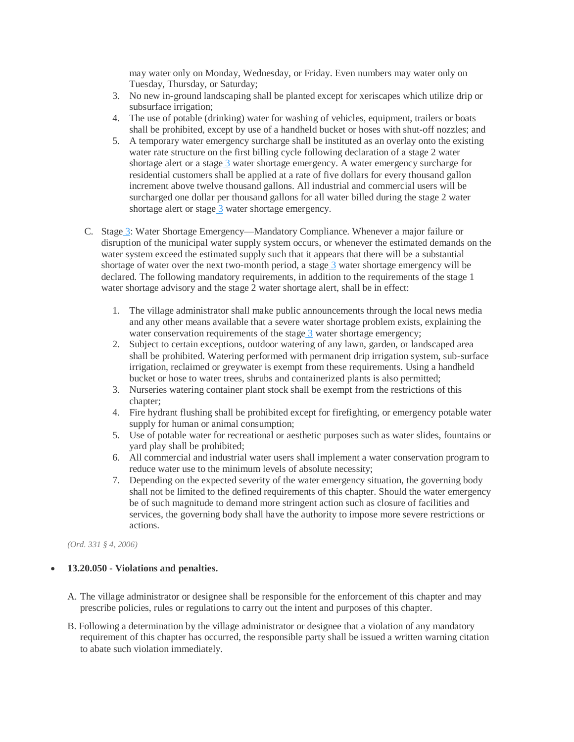may water only on Monday, Wednesday, or Friday. Even numbers may water only on Tuesday, Thursday, or Saturday;

- 3. No new in-ground landscaping shall be planted except for xeriscapes which utilize drip or subsurface irrigation;
- 4. The use of potable (drinking) water for washing of vehicles, equipment, trailers or boats shall be prohibited, except by use of a handheld bucket or hoses with shut-off nozzles; and
- 5. A temporary water emergency surcharge shall be instituted as an overlay onto the existing water rate structure on the first billing cycle following declaration of a stage 2 water shortage alert or a stage 3 water shortage emergency. A water emergency surcharge for residential customers shall be applied at a rate of five dollars for every thousand gallon increment above twelve thousand gallons. All industrial and commercial users will be surcharged one dollar per thousand gallons for all water billed during the stage 2 water shortage alert or stage 3 water shortage emergency.
- C. Stage 3: Water Shortage Emergency—Mandatory Compliance. Whenever a major failure or disruption of the municipal water supply system occurs, or whenever the estimated demands on the water system exceed the estimated supply such that it appears that there will be a substantial shortage of water over the next two-month period, a stage 3 water shortage emergency will be declared. The following mandatory requirements, in addition to the requirements of the stage 1 water shortage advisory and the stage 2 water shortage alert, shall be in effect:
	- 1. The village administrator shall make public announcements through the local news media and any other means available that a severe water shortage problem exists, explaining the water conservation requirements of the stage 3 water shortage emergency;
	- 2. Subject to certain exceptions, outdoor watering of any lawn, garden, or landscaped area shall be prohibited. Watering performed with permanent drip irrigation system, sub-surface irrigation, reclaimed or greywater is exempt from these requirements. Using a handheld bucket or hose to water trees, shrubs and containerized plants is also permitted;
	- 3. Nurseries watering container plant stock shall be exempt from the restrictions of this chapter;
	- 4. Fire hydrant flushing shall be prohibited except for firefighting, or emergency potable water supply for human or animal consumption;
	- 5. Use of potable water for recreational or aesthetic purposes such as water slides, fountains or yard play shall be prohibited;
	- 6. All commercial and industrial water users shall implement a water conservation program to reduce water use to the minimum levels of absolute necessity;
	- 7. Depending on the expected severity of the water emergency situation, the governing body shall not be limited to the defined requirements of this chapter. Should the water emergency be of such magnitude to demand more stringent action such as closure of facilities and services, the governing body shall have the authority to impose more severe restrictions or actions.

*(Ord. 331 § 4, 2006)* 

#### **13.20.050 - Violations and penalties.**

- A. The village administrator or designee shall be responsible for the enforcement of this chapter and may prescribe policies, rules or regulations to carry out the intent and purposes of this chapter.
- B. Following a determination by the village administrator or designee that a violation of any mandatory requirement of this chapter has occurred, the responsible party shall be issued a written warning citation to abate such violation immediately.